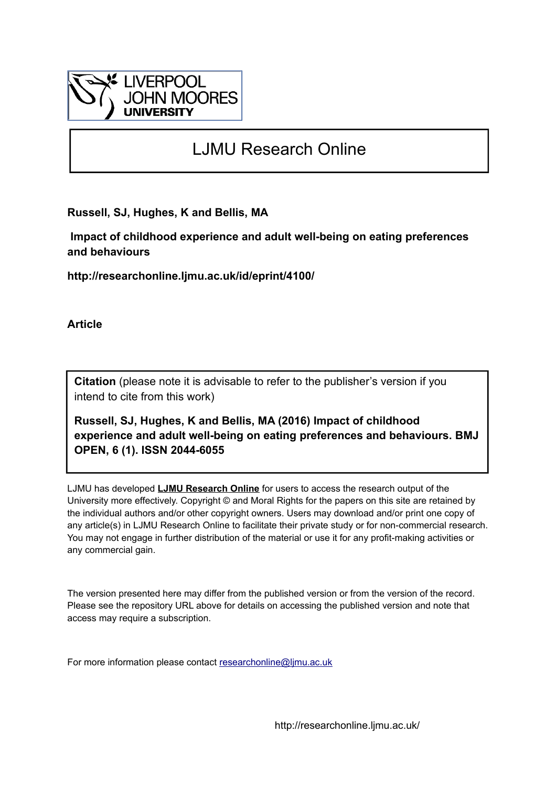

# LJMU Research Online

**Russell, SJ, Hughes, K and Bellis, MA**

 **Impact of childhood experience and adult well-being on eating preferences and behaviours**

**http://researchonline.ljmu.ac.uk/id/eprint/4100/**

**Article**

**Citation** (please note it is advisable to refer to the publisher's version if you intend to cite from this work)

**Russell, SJ, Hughes, K and Bellis, MA (2016) Impact of childhood experience and adult well-being on eating preferences and behaviours. BMJ OPEN, 6 (1). ISSN 2044-6055** 

LJMU has developed **[LJMU Research Online](http://researchonline.ljmu.ac.uk/)** for users to access the research output of the University more effectively. Copyright © and Moral Rights for the papers on this site are retained by the individual authors and/or other copyright owners. Users may download and/or print one copy of any article(s) in LJMU Research Online to facilitate their private study or for non-commercial research. You may not engage in further distribution of the material or use it for any profit-making activities or any commercial gain.

The version presented here may differ from the published version or from the version of the record. Please see the repository URL above for details on accessing the published version and note that access may require a subscription.

For more information please contact [researchonline@ljmu.ac.uk](mailto:researchonline@ljmu.ac.uk)

http://researchonline.ljmu.ac.uk/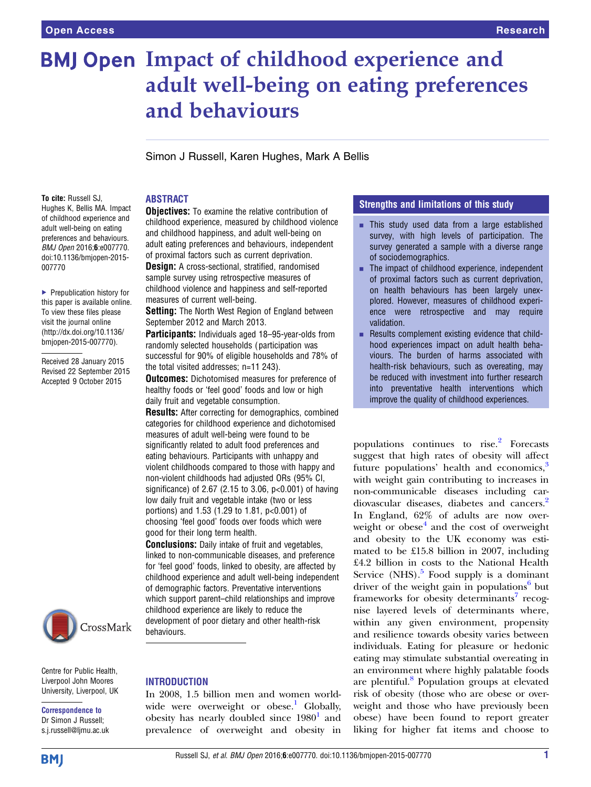# **BMJ Open Impact of childhood experience and** adult well-being on eating preferences and behaviours

Simon J Russell, Karen Hughes, Mark A Bellis

To cite: Russell SJ, Hughes K, Bellis MA. Impact of childhood experience and adult well-being on eating preferences and behaviours. BMJ Open 2016;6:e007770. doi:10.1136/bmjopen-2015- 007770

▶ Prepublication history for this paper is available online. To view these files please visit the journal online [\(http://dx.doi.org/10.1136/](http://dx.doi.org/10.1136/bmjopen-2015-007770) [bmjopen-2015-007770](http://dx.doi.org/10.1136/bmjopen-2015-007770)).

Received 28 January 2015 Revised 22 September 2015 Accepted 9 October 2015



Centre for Public Health, Liverpool John Moores University, Liverpool, UK

Correspondence to Dr Simon J Russell; s.j.russell@ljmu.ac.uk

# ABSTRACT

**Objectives:** To examine the relative contribution of childhood experience, measured by childhood violence and childhood happiness, and adult well-being on adult eating preferences and behaviours, independent of proximal factors such as current deprivation.

**Design:** A cross-sectional, stratified, randomised sample survey using retrospective measures of childhood violence and happiness and self-reported measures of current well-being.

**Setting:** The North West Region of England between September 2012 and March 2013.

Participants: Individuals aged 18-95-year-olds from randomly selected households ( participation was successful for 90% of eligible households and 78% of the total visited addresses; n=11 243).

**Outcomes:** Dichotomised measures for preference of healthy foods or 'feel good' foods and low or high daily fruit and vegetable consumption.

Results: After correcting for demographics, combined categories for childhood experience and dichotomised measures of adult well-being were found to be significantly related to adult food preferences and eating behaviours. Participants with unhappy and violent childhoods compared to those with happy and non-violent childhoods had adjusted ORs (95% CI, significance) of 2.67 (2.15 to 3.06, p<0.001) of having low daily fruit and vegetable intake (two or less portions) and 1.53 (1.29 to 1.81, p<0.001) of choosing 'feel good' foods over foods which were good for their long term health.

**Conclusions:** Daily intake of fruit and vegetables, linked to non-communicable diseases, and preference for 'feel good' foods, linked to obesity, are affected by childhood experience and adult well-being independent of demographic factors. Preventative interventions which support parent–child relationships and improve childhood experience are likely to reduce the development of poor dietary and other health-risk behaviours.

# **INTRODUCTION**

In 2008, 1.5 billion men and women world-wide were overweight or obese.<sup>[1](#page-7-0)</sup> Globally, obesity has nearly doubled since  $1980<sup>1</sup>$  $1980<sup>1</sup>$  and prevalence of overweight and obesity in

#### Strengths and Iimitations of this study

- $\blacksquare$  This study used data from a large established survey, with high levels of participation. The survey generated a sample with a diverse range of sociodemographics.
- $\blacksquare$  The impact of childhood experience, independent of proximal factors such as current deprivation, on health behaviours has been largely unexplored. However, measures of childhood experience were retrospective and may require validation.
- Results complement existing evidence that childhood experiences impact on adult health behaviours. The burden of harms associated with health-risk behaviours, such as overeating, may be reduced with investment into further research into preventative health interventions which improve the quality of childhood experiences.

populations continues to rise.<sup>[2](#page-7-0)</sup> Forecasts suggest that high rates of obesity will affect future populations' health and economics, $3$ with weight gain contributing to increases in non-communicable diseases including cardiovascular diseases, diabetes and cancers.<sup>2</sup> In England, 62% of adults are now overweight or obese $4$  and the cost of overweight and obesity to the UK economy was estimated to be £15.8 billion in 2007, including £4.2 billion in costs to the National Health Service  $(NHS)$ .<sup>[5](#page-7-0)</sup> Food supply is a dominant driver of the weight gain in populations<sup>[6](#page-7-0)</sup> but frameworks for obesity determinants<sup>[7](#page-7-0)</sup> recognise layered levels of determinants where, within any given environment, propensity and resilience towards obesity varies between individuals. Eating for pleasure or hedonic eating may stimulate substantial overeating in an environment where highly palatable foods are plentiful.<sup>[8](#page-7-0)</sup> Population groups at elevated risk of obesity (those who are obese or overweight and those who have previously been obese) have been found to report greater liking for higher fat items and choose to

**BMJ**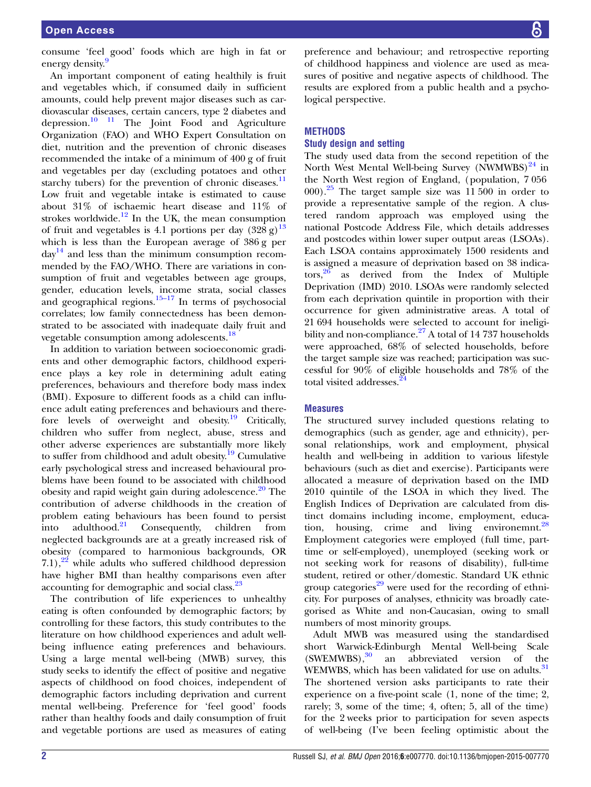consume 'feel good' foods which are high in fat or energy density.<sup>[9](#page-7-0)</sup>

An important component of eating healthily is fruit and vegetables which, if consumed daily in sufficient amounts, could help prevent major diseases such as cardiovascular diseases, certain cancers, type 2 diabetes and depression. $10 \t 11$  The Joint Food and Agriculture Organization (FAO) and WHO Expert Consultation on diet, nutrition and the prevention of chronic diseases recommended the intake of a minimum of 400 g of fruit and vegetables per day (excluding potatoes and other starchy tubers) for the prevention of chronic diseases. $\frac{11}{11}$  $\frac{11}{11}$  $\frac{11}{11}$ Low fruit and vegetable intake is estimated to cause about 31% of ischaemic heart disease and 11% of strokes worldwide. $12$  In the UK, the mean consumption of fruit and vegetables is 4.1 portions per day  $(328 \text{ g})^{13}$  $(328 \text{ g})^{13}$  $(328 \text{ g})^{13}$ which is less than the European average of 386 g per  $day<sup>14</sup>$  and less than the minimum consumption recommended by the FAO/WHO. There are variations in consumption of fruit and vegetables between age groups, gender, education levels, income strata, social classes and geographical regions. $15-17$  $15-17$  In terms of psychosocial correlates; low family connectedness has been demonstrated to be associated with inadequate daily fruit and vegetable consumption among adolescents.<sup>[18](#page-8-0)</sup>

In addition to variation between socioeconomic gradients and other demographic factors, childhood experience plays a key role in determining adult eating preferences, behaviours and therefore body mass index (BMI). Exposure to different foods as a child can influence adult eating preferences and behaviours and there-fore levels of overweight and obesity.<sup>[19](#page-8-0)</sup> Critically, children who suffer from neglect, abuse, stress and other adverse experiences are substantially more likely to suffer from childhood and adult obesity.<sup>[19](#page-8-0)</sup> Cumulative early psychological stress and increased behavioural problems have been found to be associated with childhood obesity and rapid weight gain during adolescence. $20$  The contribution of adverse childhoods in the creation of problem eating behaviours has been found to persist<br>into adulthood.<sup>21</sup> Consequently, children from into adulthood. $21$  Consequently, children from neglected backgrounds are at a greatly increased risk of obesity (compared to harmonious backgrounds, OR 7.1), $^{22}$  while adults who suffered childhood depression have higher BMI than healthy comparisons even after accounting for demographic and social class.<sup>[23](#page-8-0)</sup>

The contribution of life experiences to unhealthy eating is often confounded by demographic factors; by controlling for these factors, this study contributes to the literature on how childhood experiences and adult wellbeing influence eating preferences and behaviours. Using a large mental well-being (MWB) survey, this study seeks to identify the effect of positive and negative aspects of childhood on food choices, independent of demographic factors including deprivation and current mental well-being. Preference for 'feel good' foods rather than healthy foods and daily consumption of fruit and vegetable portions are used as measures of eating

preference and behaviour; and retrospective reporting of childhood happiness and violence are used as measures of positive and negative aspects of childhood. The results are explored from a public health and a psychological perspective.

#### **METHODS**

#### Study design and setting

The study used data from the second repetition of the North West Mental Well-being Survey (NWMWBS) $^{24}$  $^{24}$  $^{24}$  in the North West region of England, (population, 7 056  $(000)$ .<sup>[25](#page-8-0)</sup> The target sample size was 11 500 in order to provide a representative sample of the region. A clustered random approach was employed using the national Postcode Address File, which details addresses and postcodes within lower super output areas (LSOAs). Each LSOA contains approximately 1500 residents and is assigned a measure of deprivation based on 38 indica- $\cos^{26}$  $\cos^{26}$  $\cos^{26}$  as derived from the Index of Multiple Deprivation (IMD) 2010. LSOAs were randomly selected from each deprivation quintile in proportion with their occurrence for given administrative areas. A total of 21 694 households were selected to account for ineligibility and non-compliance. $27$  A total of 14 737 households were approached, 68% of selected households, before the target sample size was reached; participation was successful for 90% of eligible households and 78% of the total visited addresses.<sup>[24](#page-8-0)</sup>

#### **Measures**

The structured survey included questions relating to demographics (such as gender, age and ethnicity), personal relationships, work and employment, physical health and well-being in addition to various lifestyle behaviours (such as diet and exercise). Participants were allocated a measure of deprivation based on the IMD 2010 quintile of the LSOA in which they lived. The English Indices of Deprivation are calculated from distinct domains including income, employment, education, housing, crime and living environemnt. $28$ Employment categories were employed (full time, parttime or self-employed), unemployed (seeking work or not seeking work for reasons of disability), full-time student, retired or other/domestic. Standard UK ethnic group categories<sup>[29](#page-8-0)</sup> were used for the recording of ethnicity. For purposes of analyses, ethnicity was broadly categorised as White and non-Caucasian, owing to small numbers of most minority groups.

Adult MWB was measured using the standardised short Warwick-Edinburgh Mental Well-being Scale  $(SWEMWBS)$ ,<sup>[30](#page-8-0)</sup> an abbreviated version of the WEMWBS, which has been validated for use on adults.<sup>[31](#page-8-0)</sup> The shortened version asks participants to rate their experience on a five-point scale (1, none of the time; 2, rarely; 3, some of the time; 4, often; 5, all of the time) for the 2 weeks prior to participation for seven aspects of well-being (I've been feeling optimistic about the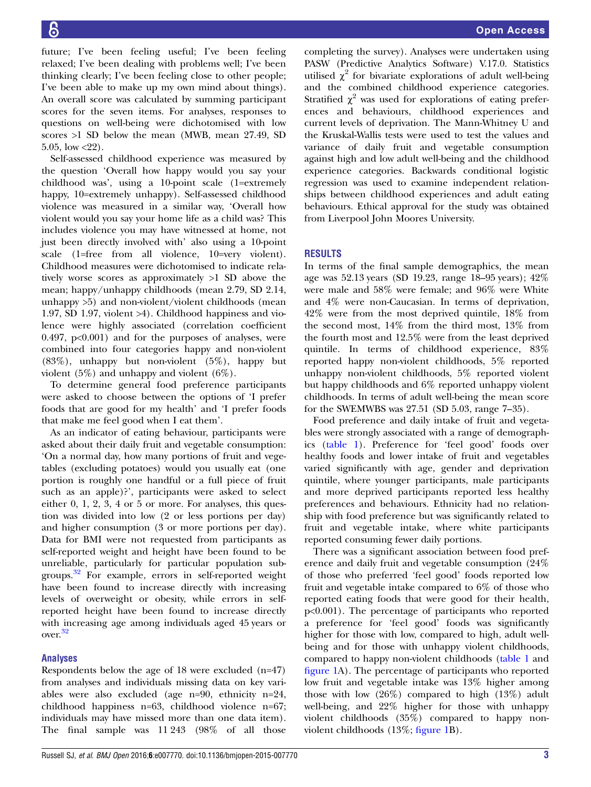future; I've been feeling useful; I've been feeling relaxed; I've been dealing with problems well; I've been thinking clearly; I've been feeling close to other people; I've been able to make up my own mind about things). An overall score was calculated by summing participant scores for the seven items. For analyses, responses to questions on well-being were dichotomised with low scores >1 SD below the mean (MWB, mean 27.49, SD 5.05, low  $\langle 22 \rangle$ .

Self-assessed childhood experience was measured by the question 'Overall how happy would you say your childhood was', using a 10-point scale (1=extremely happy, 10=extremely unhappy). Self-assessed childhood violence was measured in a similar way, 'Overall how violent would you say your home life as a child was? This includes violence you may have witnessed at home, not just been directly involved with' also using a 10-point scale (1=free from all violence, 10=very violent). Childhood measures were dichotomised to indicate relatively worse scores as approximately >1 SD above the mean; happy/unhappy childhoods (mean 2.79, SD 2.14, unhappy >5) and non-violent/violent childhoods (mean 1.97, SD 1.97, violent >4). Childhood happiness and violence were highly associated (correlation coefficient 0.497,  $p<0.001$  and for the purposes of analyses, were combined into four categories happy and non-violent (83%), unhappy but non-violent (5%), happy but violent (5%) and unhappy and violent (6%).

To determine general food preference participants were asked to choose between the options of 'I prefer foods that are good for my health' and 'I prefer foods that make me feel good when I eat them'.

As an indicator of eating behaviour, participants were asked about their daily fruit and vegetable consumption: 'On a normal day, how many portions of fruit and vegetables (excluding potatoes) would you usually eat (one portion is roughly one handful or a full piece of fruit such as an apple)?', participants were asked to select either 0, 1, 2, 3, 4 or 5 or more. For analyses, this question was divided into low (2 or less portions per day) and higher consumption (3 or more portions per day). Data for BMI were not requested from participants as self-reported weight and height have been found to be unreliable, particularly for particular population subgroups.[32](#page-8-0) For example, errors in self-reported weight have been found to increase directly with increasing levels of overweight or obesity, while errors in selfreported height have been found to increase directly with increasing age among individuals aged 45 years or over.[32](#page-8-0)

# Analyses

Respondents below the age of 18 were excluded (n=47) from analyses and individuals missing data on key variables were also excluded (age n=90, ethnicity n=24, childhood happiness n=63, childhood violence n=67; individuals may have missed more than one data item). The final sample was 11 243 (98% of all those

completing the survey). Analyses were undertaken using PASW (Predictive Analytics Software) V.17.0. Statistics utilised  $\chi^2$  for bivariate explorations of adult well-being and the combined childhood experience categories. Stratified  $\chi^2$  was used for explorations of eating preferences and behaviours, childhood experiences and current levels of deprivation. The Mann-Whitney U and the Kruskal-Wallis tests were used to test the values and variance of daily fruit and vegetable consumption against high and low adult well-being and the childhood experience categories. Backwards conditional logistic regression was used to examine independent relationships between childhood experiences and adult eating behaviours. Ethical approval for the study was obtained from Liverpool John Moores University.

# RESULTS

In terms of the final sample demographics, the mean age was 52.13 years (SD 19.23, range 18–95 years); 42% were male and 58% were female; and 96% were White and 4% were non-Caucasian. In terms of deprivation, 42% were from the most deprived quintile, 18% from the second most, 14% from the third most, 13% from the fourth most and 12.5% were from the least deprived quintile. In terms of childhood experience, 83% reported happy non-violent childhoods, 5% reported unhappy non-violent childhoods, 5% reported violent but happy childhoods and 6% reported unhappy violent childhoods. In terms of adult well-being the mean score for the SWEMWBS was 27.51 (SD 5.03, range 7–35).

Food preference and daily intake of fruit and vegetables were strongly associated with a range of demographics ([table 1\)](#page-4-0). Preference for 'feel good' foods over healthy foods and lower intake of fruit and vegetables varied significantly with age, gender and deprivation quintile, where younger participants, male participants and more deprived participants reported less healthy preferences and behaviours. Ethnicity had no relationship with food preference but was significantly related to fruit and vegetable intake, where white participants reported consuming fewer daily portions.

There was a significant association between food preference and daily fruit and vegetable consumption (24% of those who preferred 'feel good' foods reported low fruit and vegetable intake compared to 6% of those who reported eating foods that were good for their health, p<0.001). The percentage of participants who reported a preference for 'feel good' foods was significantly higher for those with low, compared to high, adult wellbeing and for those with unhappy violent childhoods, compared to happy non-violent childhoods ([table 1](#page-4-0) and fi[gure 1A](#page-5-0)). The percentage of participants who reported low fruit and vegetable intake was 13% higher among those with low (26%) compared to high (13%) adult well-being, and 22% higher for those with unhappy violent childhoods (35%) compared to happy nonviolent childhoods (13%; fi[gure 1B](#page-5-0)).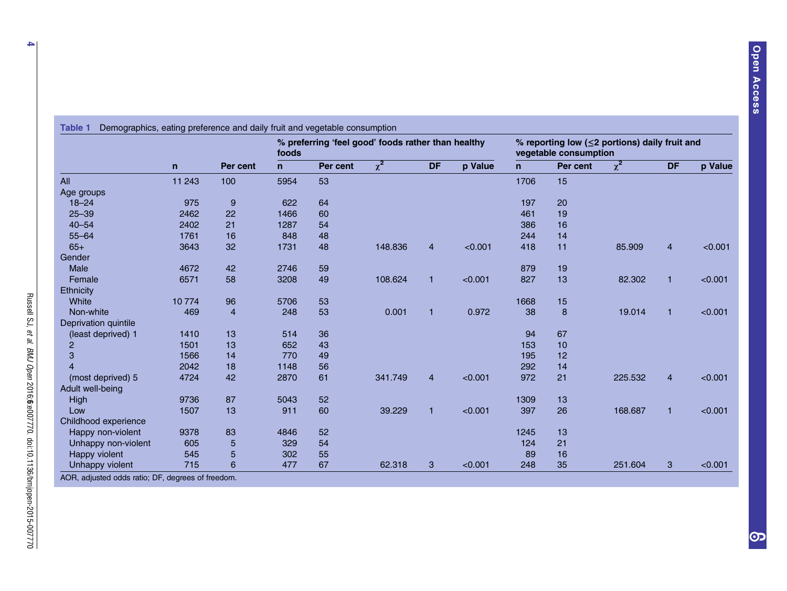<span id="page-4-0"></span>

|                      | $\mathsf{n}$ | Per cent       | % preferring 'feel good' foods rather than healthy<br>foods |          |                     |                |         | % reporting low ( $\leq$ 2 portions) daily fruit and<br>vegetable consumption |          |          |                |         |
|----------------------|--------------|----------------|-------------------------------------------------------------|----------|---------------------|----------------|---------|-------------------------------------------------------------------------------|----------|----------|----------------|---------|
|                      |              |                | $\mathsf{n}$                                                | Per cent | $\overline{\chi^2}$ | <b>DF</b>      | p Value | $\mathsf{n}$                                                                  | Per cent | $\chi^2$ | <b>DF</b>      | p Value |
| All                  | 11 243       | 100            | 5954                                                        | 53       |                     |                |         | 1706                                                                          | 15       |          |                |         |
| Age groups           |              |                |                                                             |          |                     |                |         |                                                                               |          |          |                |         |
| $18 - 24$            | 975          | 9              | 622                                                         | 64       |                     |                |         | 197                                                                           | 20       |          |                |         |
| $25 - 39$            | 2462         | 22             | 1466                                                        | 60       |                     |                |         | 461                                                                           | 19       |          |                |         |
| $40 - 54$            | 2402         | 21             | 1287                                                        | 54       |                     |                |         | 386                                                                           | 16       |          |                |         |
| $55 - 64$            | 1761         | 16             | 848                                                         | 48       |                     |                |         | 244                                                                           | 14       |          |                |         |
| $65+$                | 3643         | 32             | 1731                                                        | 48       | 148.836             | $\overline{4}$ | < 0.001 | 418                                                                           | 11       | 85.909   | $\overline{4}$ | < 0.001 |
| Gender               |              |                |                                                             |          |                     |                |         |                                                                               |          |          |                |         |
| Male                 | 4672         | 42             | 2746                                                        | 59       |                     |                |         | 879                                                                           | 19       |          |                |         |
| Female               | 6571         | 58             | 3208                                                        | 49       | 108.624             | $\mathbf{1}$   | < 0.001 | 827                                                                           | 13       | 82.302   | $\overline{1}$ | < 0.001 |
| Ethnicity            |              |                |                                                             |          |                     |                |         |                                                                               |          |          |                |         |
| White                | 10774        | 96             | 5706                                                        | 53       |                     |                |         | 1668                                                                          | 15       |          |                |         |
| Non-white            | 469          | $\overline{4}$ | 248                                                         | 53       | 0.001               | $\mathbf{1}$   | 0.972   | 38                                                                            | 8        | 19.014   | $\mathbf{1}$   | < 0.001 |
| Deprivation quintile |              |                |                                                             |          |                     |                |         |                                                                               |          |          |                |         |
| (least deprived) 1   | 1410         | 13             | 514                                                         | 36       |                     |                |         | 94                                                                            | 67       |          |                |         |
| $\overline{2}$       | 1501         | 13             | 652                                                         | 43       |                     |                |         | 153                                                                           | 10       |          |                |         |
| 3                    | 1566         | 14             | 770                                                         | 49       |                     |                |         | 195                                                                           | 12       |          |                |         |
| $\overline{4}$       | 2042         | 18             | 1148                                                        | 56       |                     |                |         | 292                                                                           | 14       |          |                |         |
| (most deprived) 5    | 4724         | 42             | 2870                                                        | 61       | 341.749             | $\overline{4}$ | < 0.001 | 972                                                                           | 21       | 225.532  | $\overline{4}$ | < 0.001 |
| Adult well-being     |              |                |                                                             |          |                     |                |         |                                                                               |          |          |                |         |
| High                 | 9736         | 87             | 5043                                                        | 52       |                     |                |         | 1309                                                                          | 13       |          |                |         |
| Low                  | 1507         | 13             | 911                                                         | 60       | 39.229              | 1              | < 0.001 | 397                                                                           | 26       | 168.687  | $\mathbf{1}$   | < 0.001 |
| Childhood experience |              |                |                                                             |          |                     |                |         |                                                                               |          |          |                |         |
| Happy non-violent    | 9378         | 83             | 4846                                                        | 52       |                     |                |         | 1245                                                                          | 13       |          |                |         |
| Unhappy non-violent  | 605          | 5              | 329                                                         | 54       |                     |                |         | 124                                                                           | 21       |          |                |         |
| Happy violent        | 545          | 5              | 302                                                         | 55       |                     |                |         | 89                                                                            | 16       |          |                |         |
| Unhappy violent      | 715          | 6              | 477                                                         | 67       | 62.318              | 3              | < 0.001 | 248                                                                           | 35       | 251.604  | 3              | < 0.001 |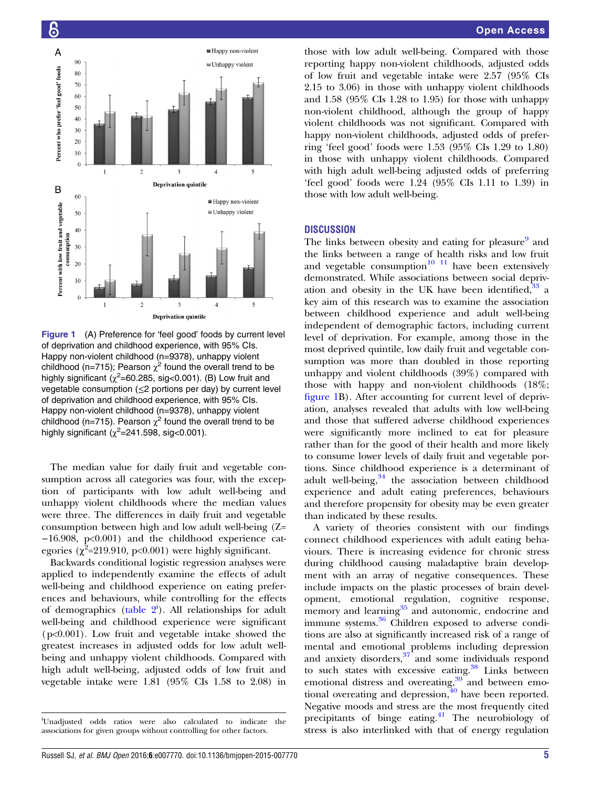<span id="page-5-0"></span>

Figure 1 (A) Preference for 'feel good' foods by current level of deprivation and childhood experience, with 95% CIs. Happy non-violent childhood (n=9378), unhappy violent childhood (n=715); Pearson  $\chi^2$  found the overall trend to be highly significant ( $\chi^2$ =60.285, sig<0.001). (B) Low fruit and vegetable consumption (≤2 portions per day) by current level of deprivation and childhood experience, with 95% CIs. Happy non-violent childhood (n=9378), unhappy violent childhood (n=715). Pearson  $\chi^2$  found the overall trend to be highly significant  $(\chi^2=241.598, \text{ sig}<0.001)$ .

The median value for daily fruit and vegetable consumption across all categories was four, with the exception of participants with low adult well-being and unhappy violent childhoods where the median values were three. The differences in daily fruit and vegetable consumption between high and low adult well-being (Z= −16.908, p<0.001) and the childhood experience categories ( $\chi^2$ =219.910, p<0.001) were highly significant.

Backwards conditional logistic regression analyses were applied to independently examine the effects of adult well-being and childhood experience on eating preferences and behaviours, while controlling for the effects of demographics (table  $2^i$ ). All relationships for adult well-being and childhood experience were significant  $(p<0.001)$ . Low fruit and vegetable intake showed the greatest increases in adjusted odds for low adult wellbeing and unhappy violent childhoods. Compared with high adult well-being, adjusted odds of low fruit and vegetable intake were 1.81 (95% CIs 1.58 to 2.08) in

those with low adult well-being. Compared with those reporting happy non-violent childhoods, adjusted odds of low fruit and vegetable intake were 2.57 (95% CIs 2.15 to 3.06) in those with unhappy violent childhoods and 1.58 (95% CIs 1.28 to 1.95) for those with unhappy non-violent childhood, although the group of happy violent childhoods was not significant. Compared with happy non-violent childhoods, adjusted odds of preferring 'feel good' foods were 1.53 (95% CIs 1.29 to 1.80) in those with unhappy violent childhoods. Compared with high adult well-being adjusted odds of preferring 'feel good' foods were 1.24 (95% CIs 1.11 to 1.39) in those with low adult well-being.

#### **DISCUSSION**

The links between obesity and eating for pleasure<sup>9</sup> and the links between a range of health risks and low fruit and vegetable consumption<sup>[10 11](#page-7-0)</sup> have been extensively demonstrated. While associations between social deprivation and obesity in the UK have been identified,  $33$  a key aim of this research was to examine the association between childhood experience and adult well-being independent of demographic factors, including current level of deprivation. For example, among those in the most deprived quintile, low daily fruit and vegetable consumption was more than doubled in those reporting unhappy and violent childhoods (39%) compared with those with happy and non-violent childhoods (18%; figure 1B). After accounting for current level of deprivation, analyses revealed that adults with low well-being and those that suffered adverse childhood experiences were significantly more inclined to eat for pleasure rather than for the good of their health and more likely to consume lower levels of daily fruit and vegetable portions. Since childhood experience is a determinant of adult well-being, $34$  the association between childhood experience and adult eating preferences, behaviours and therefore propensity for obesity may be even greater than indicated by these results.

A variety of theories consistent with our findings connect childhood experiences with adult eating behaviours. There is increasing evidence for chronic stress during childhood causing maladaptive brain development with an array of negative consequences. These include impacts on the plastic processes of brain development, emotional regulation, cognitive response, memory and learning $35$  and autonomic, endocrine and immune systems.<sup>[36](#page-8-0)</sup> Children exposed to adverse conditions are also at significantly increased risk of a range of mental and emotional problems including depression and anxiety disorders,<sup>[37](#page-8-0)</sup> and some individuals respond to such states with excessive eating.<sup>[38](#page-8-0)</sup> Links between emotional distress and overeating,<sup>[39](#page-8-0)</sup> and between emotional overeating and depression, $40$  have been reported. Negative moods and stress are the most frequently cited precipitants of binge eating.<sup>[41](#page-8-0)</sup> The neurobiology of stress is also interlinked with that of energy regulation

i Unadjusted odds ratios were also calculated to indicate the associations for given groups without controlling for other factors.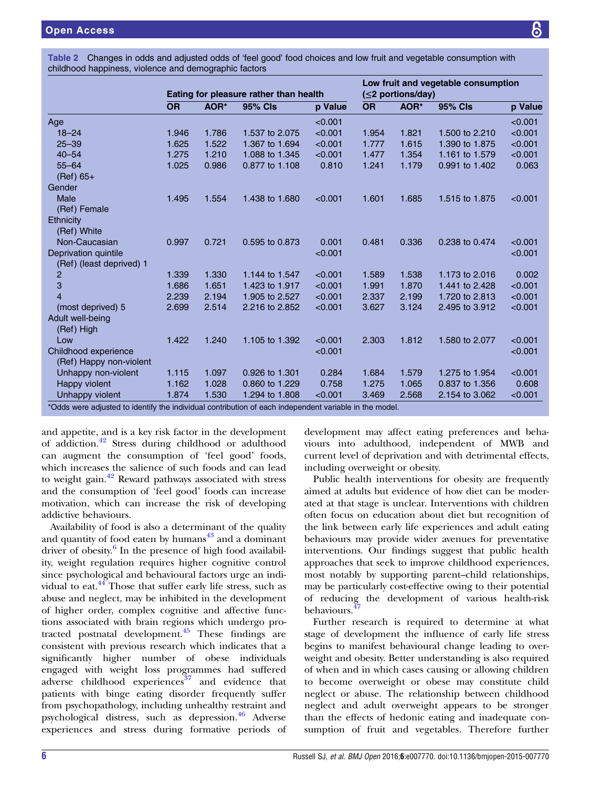<span id="page-6-0"></span>Table 2 Changes in odds and adjusted odds of 'feel good' food choices and low fruit and vegetable consumption with childhood happiness, violence and demographic factors

|                                                  | Eating for pleasure rather than health |       |                |         | Low fruit and vegetable consumption<br>(<2 portions/day) |       |                |         |  |
|--------------------------------------------------|----------------------------------------|-------|----------------|---------|----------------------------------------------------------|-------|----------------|---------|--|
|                                                  | <b>OR</b>                              | AOR*  | <b>95% CIs</b> | p Value | <b>OR</b>                                                | AOR*  | <b>95% CIs</b> | p Value |  |
| Age                                              |                                        |       |                | < 0.001 |                                                          |       |                | < 0.001 |  |
| $18 - 24$                                        | 1.946                                  | 1.786 | 1.537 to 2.075 | < 0.001 | 1.954                                                    | 1.821 | 1.500 to 2.210 | < 0.001 |  |
| $25 - 39$                                        | 1.625                                  | 1.522 | 1.367 to 1.694 | < 0.001 | 1.777                                                    | 1.615 | 1.390 to 1.875 | < 0.001 |  |
| $40 - 54$                                        | 1.275                                  | 1.210 | 1.088 to 1.345 | < 0.001 | 1.477                                                    | 1.354 | 1.161 to 1.579 | < 0.001 |  |
| $55 - 64$<br>$(Ref) 65+$                         | 1.025                                  | 0.986 | 0.877 to 1.108 | 0.810   | 1.241                                                    | 1.179 | 0.991 to 1.402 | 0.063   |  |
| Gender                                           |                                        |       |                |         |                                                          |       |                |         |  |
| Male<br>(Ref) Female                             | 1.495                                  | 1.554 | 1.438 to 1.680 | < 0.001 | 1.601                                                    | 1.685 | 1.515 to 1.875 | < 0.001 |  |
| Ethnicity<br>(Ref) White                         |                                        |       |                |         |                                                          |       |                |         |  |
| Non-Caucasian                                    | 0.997                                  | 0.721 | 0.595 to 0.873 | 0.001   | 0.481                                                    | 0.336 | 0.238 to 0.474 | < 0.001 |  |
| Deprivation quintile<br>(Ref) (least deprived) 1 |                                        |       |                | < 0.001 |                                                          |       |                | < 0.001 |  |
| $\overline{c}$                                   | 1.339                                  | 1.330 | 1.144 to 1.547 | < 0.001 | 1.589                                                    | 1.538 | 1.173 to 2.016 | 0.002   |  |
| 3                                                | 1.686                                  | 1.651 | 1.423 to 1.917 | < 0.001 | 1.991                                                    | 1.870 | 1.441 to 2.428 | < 0.001 |  |
| $\overline{4}$                                   | 2.239                                  | 2.194 | 1.905 to 2.527 | < 0.001 | 2.337                                                    | 2.199 | 1.720 to 2.813 | < 0.001 |  |
| (most deprived) 5                                | 2.699                                  | 2.514 | 2.216 to 2.852 | < 0.001 | 3.627                                                    | 3.124 | 2.495 to 3.912 | < 0.001 |  |
| Adult well-being<br>(Ref) High                   |                                        |       |                |         |                                                          |       |                |         |  |
| Low                                              | 1.422                                  | 1.240 | 1.105 to 1.392 | < 0.001 | 2.303                                                    | 1.812 | 1.580 to 2.077 | < 0.001 |  |
| Childhood experience<br>(Ref) Happy non-violent  |                                        |       |                | < 0.001 |                                                          |       |                | < 0.001 |  |
| Unhappy non-violent                              | 1.115                                  | 1.097 | 0.926 to 1.301 | 0.284   | 1.684                                                    | 1.579 | 1.275 to 1.954 | < 0.001 |  |
| Happy violent                                    | 1.162                                  | 1.028 | 0.860 to 1.229 | 0.758   | 1.275                                                    | 1.065 | 0.837 to 1.356 | 0.608   |  |
| Unhappy violent                                  | 1.874                                  | 1.530 | 1.294 to 1.808 | < 0.001 | 3.469                                                    | 2.568 | 2.154 to 3.062 | < 0.001 |  |

\*Odds were adjusted to identify the individual contribution of each independent variable in the model.

and appetite, and is a key risk factor in the development of addiction.[42](#page-8-0) Stress during childhood or adulthood can augment the consumption of 'feel good' foods, which increases the salience of such foods and can lead to weight gain.<sup>[42](#page-8-0)</sup> Reward pathways associated with stress and the consumption of 'feel good' foods can increase motivation, which can increase the risk of developing addictive behaviours.

Availability of food is also a determinant of the quality and quantity of food eaten by humans<sup>[43](#page-8-0)</sup> and a dominant driver of obesity. $6 \text{ In the presence of high food available}$  $6 \text{ In the presence of high food available}$ ity, weight regulation requires higher cognitive control since psychological and behavioural factors urge an individual to eat.<sup>44</sup> Those that suffer early life stress, such as abuse and neglect, may be inhibited in the development of higher order, complex cognitive and affective functions associated with brain regions which undergo protracted postnatal development[.45](#page-8-0) These findings are consistent with previous research which indicates that a significantly higher number of obese individuals engaged with weight loss programmes had suffered adverse childhood experiences $37$  and evidence that patients with binge eating disorder frequently suffer from psychopathology, including unhealthy restraint and psychological distress, such as depression.<sup>[46](#page-8-0)</sup> Adverse experiences and stress during formative periods of development may affect eating preferences and behaviours into adulthood, independent of MWB and current level of deprivation and with detrimental effects, including overweight or obesity.

Public health interventions for obesity are frequently aimed at adults but evidence of how diet can be moderated at that stage is unclear. Interventions with children often focus on education about diet but recognition of the link between early life experiences and adult eating behaviours may provide wider avenues for preventative interventions. Our findings suggest that public health approaches that seek to improve childhood experiences, most notably by supporting parent–child relationships, may be particularly cost-effective owing to their potential of reducing the development of various health-risk behaviours.<sup>4</sup>

Further research is required to determine at what stage of development the influence of early life stress begins to manifest behavioural change leading to overweight and obesity. Better understanding is also required of when and in which cases causing or allowing children to become overweight or obese may constitute child neglect or abuse. The relationship between childhood neglect and adult overweight appears to be stronger than the effects of hedonic eating and inadequate consumption of fruit and vegetables. Therefore further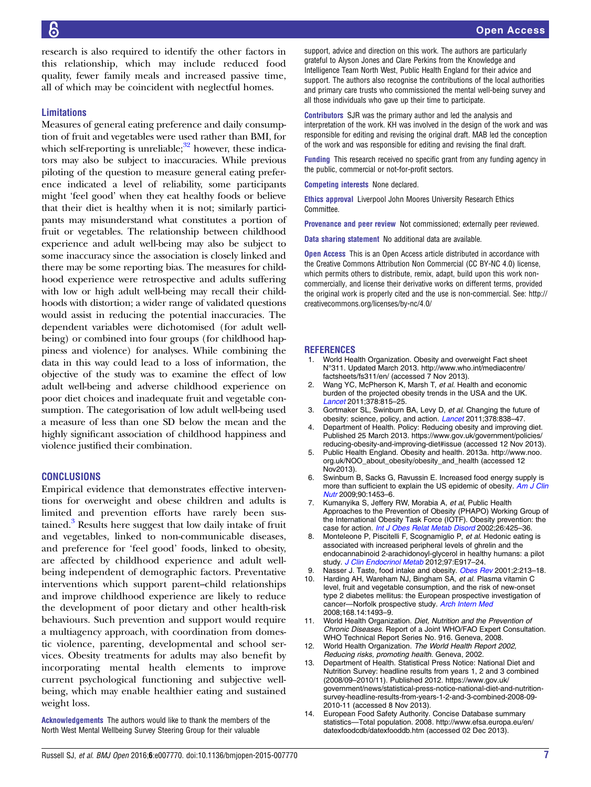<span id="page-7-0"></span>research is also required to identify the other factors in this relationship, which may include reduced food quality, fewer family meals and increased passive time, all of which may be coincident with neglectful homes.

### Limitations

Measures of general eating preference and daily consumption of fruit and vegetables were used rather than BMI, for which self-reporting is unreliable; $32$  however, these indicators may also be subject to inaccuracies. While previous piloting of the question to measure general eating preference indicated a level of reliability, some participants might 'feel good' when they eat healthy foods or believe that their diet is healthy when it is not; similarly participants may misunderstand what constitutes a portion of fruit or vegetables. The relationship between childhood experience and adult well-being may also be subject to some inaccuracy since the association is closely linked and there may be some reporting bias. The measures for childhood experience were retrospective and adults suffering with low or high adult well-being may recall their childhoods with distortion; a wider range of validated questions would assist in reducing the potential inaccuracies. The dependent variables were dichotomised (for adult wellbeing) or combined into four groups (for childhood happiness and violence) for analyses. While combining the data in this way could lead to a loss of information, the objective of the study was to examine the effect of low adult well-being and adverse childhood experience on poor diet choices and inadequate fruit and vegetable consumption. The categorisation of low adult well-being used a measure of less than one SD below the mean and the highly significant association of childhood happiness and violence justified their combination.

# **CONCLUSIONS**

Empirical evidence that demonstrates effective interventions for overweight and obese children and adults is limited and prevention efforts have rarely been sustained. $3$  Results here suggest that low daily intake of fruit and vegetables, linked to non-communicable diseases, and preference for 'feel good' foods, linked to obesity, are affected by childhood experience and adult wellbeing independent of demographic factors. Preventative interventions which support parent–child relationships and improve childhood experience are likely to reduce the development of poor dietary and other health-risk behaviours. Such prevention and support would require a multiagency approach, with coordination from domestic violence, parenting, developmental and school services. Obesity treatments for adults may also benefit by incorporating mental health elements to improve current psychological functioning and subjective wellbeing, which may enable healthier eating and sustained weight loss.

Acknowledgements The authors would like to thank the members of the North West Mental Wellbeing Survey Steering Group for their valuable

support, advice and direction on this work. The authors are particularly grateful to Alyson Jones and Clare Perkins from the Knowledge and Intelligence Team North West, Public Health England for their advice and support. The authors also recognise the contributions of the local authorities and primary care trusts who commissioned the mental well-being survey and all those individuals who gave up their time to participate.

Contributors SJR was the primary author and led the analysis and interpretation of the work. KH was involved in the design of the work and was responsible for editing and revising the original draft. MAB led the conception of the work and was responsible for editing and revising the final draft.

Funding This research received no specific grant from any funding agency in the public, commercial or not-for-profit sectors.

Competing interests None declared.

Ethics approval Liverpool John Moores University Research Ethics **Committee** 

Provenance and peer review Not commissioned; externally peer reviewed.

Data sharing statement No additional data are available.

**Open Access** This is an Open Access article distributed in accordance with the Creative Commons Attribution Non Commercial (CC BY-NC 4.0) license, which permits others to distribute, remix, adapt, build upon this work noncommercially, and license their derivative works on different terms, provided the original work is properly cited and the use is non-commercial. See: [http://](http://creativecommons.org/licenses/by-nc/4.0/) [creativecommons.org/licenses/by-nc/4.0/](http://creativecommons.org/licenses/by-nc/4.0/)

#### REFERENCES

- 1. World Health Organization. Obesity and overweight Fact sheet N°311. Updated March 2013. [http://www.who.int/mediacentre/](http://www.who.int/mediacentre/factsheets/fs311/en/) [factsheets/fs311/en/](http://www.who.int/mediacentre/factsheets/fs311/en/) (accessed 7 Nov 2013).
- 2. Wang YC, McPherson K, Marsh T, et al. Health and economic burden of the projected obesity trends in the USA and the UK. [Lancet](http://dx.doi.org/10.1016/S0140-6736(11)60814-3) 2011;378:815–25.
- 3. Gortmaker SL, Swinburn BA, Levy D, et al. Changing the future of obesity: science, policy, and action. [Lancet](http://dx.doi.org/10.1016/S0140-6736(11)60815-5) 2011;378:838-47.
- 4. Department of Health. Policy: Reducing obesity and improving diet. Published 25 March 2013. [https://www.gov.uk/government/policies/](https://www.gov.uk/government/policies/reducing-obesity-and-improving-diet#issue) [reducing-obesity-and-improving-diet#issue](https://www.gov.uk/government/policies/reducing-obesity-and-improving-diet#issue) (accessed 12 Nov 2013).
- 5. Public Health England. Obesity and health. 2013a. [http://www.noo.](http://www.noo.org.uk/NOO_about_obesity/obesity_and_health) [org.uk/NOO\\_about\\_obesity/obesity\\_and\\_health](http://www.noo.org.uk/NOO_about_obesity/obesity_and_health) (accessed 12 Nov2013).
- 6. Swinburn B, Sacks G, Ravussin E. Increased food energy supply is more than sufficient to explain the US epidemic of obesity. [Am J Clin](http://dx.doi.org/10.3945/ajcn.2009.28595) [Nutr](http://dx.doi.org/10.3945/ajcn.2009.28595) 2009;90:1453–6.
- 7. Kumanyika S, Jeffery RW, Morabia A, et al, Public Health Approaches to the Prevention of Obesity (PHAPO) Working Group of the International Obesity Task Force (IOTF). Obesity prevention: the case for action. [Int J Obes Relat Metab Disord](http://dx.doi.org/10.1038/sj.ijo.0801938) 2002;26:425-36.
- 8. Monteleone P, Piscitelli F, Scognamiglio P, et al. Hedonic eating is associated with increased peripheral levels of ghrelin and the endocannabinoid 2-arachidonoyl-glycerol in healthy humans: a pilot study. [J Clin Endocrinol Metab](http://dx.doi.org/10.1210/jc.2011-3018) 2012;97:E917-24.
- 9. Nasser J. Taste, food intake and obesity. [Obes Rev](http://dx.doi.org/10.1046/j.1467-789X.2001.00039.x) 2001;2:213–18.<br>10. Harding AH. Wareham NJ. Bingham SA, et al. Plasma vitamin C Harding AH, Wareham NJ, Bingham SA, et al. Plasma vitamin C level, fruit and vegetable consumption, and the risk of new-onset type 2 diabetes mellitus: the European prospective investigation of cancer—Norfolk prospective study. [Arch Intern Med](http://dx.doi.org/10.1001/archinte.168.14.1493) 2008;168.14:1493–9.
- 11. World Health Organization. Diet, Nutrition and the Prevention of Chronic Diseases. Report of a Joint WHO/FAO Expert Consultation. WHO Technical Report Series No. 916. Geneva, 2008.
- 12. World Health Organization. The World Health Report 2002, Reducing risks, promoting health. Geneva, 2002.
- 13. Department of Health. Statistical Press Notice: National Diet and Nutrition Survey: headline results from years 1, 2 and 3 combined (2008/09–2010/11). Published 2012. [https://www.gov.uk/](https://www.gov.uk/government/news/statistical-press-notice-national-diet-and-nutrition-survey-headline-results-from-years-1-2-and-3-combined-2008-09-2010-11) [government/news/statistical-press-notice-national-diet-and-nutrition](https://www.gov.uk/government/news/statistical-press-notice-national-diet-and-nutrition-survey-headline-results-from-years-1-2-and-3-combined-2008-09-2010-11)[survey-headline-results-from-years-1-2-and-3-combined-2008-09-](https://www.gov.uk/government/news/statistical-press-notice-national-diet-and-nutrition-survey-headline-results-from-years-1-2-and-3-combined-2008-09-2010-11) [2010-11](https://www.gov.uk/government/news/statistical-press-notice-national-diet-and-nutrition-survey-headline-results-from-years-1-2-and-3-combined-2008-09-2010-11) (accessed 8 Nov 2013).
- 14. European Food Safety Authority. Concise Database summary statistics—Total population. 2008. [http://www.efsa.europa.eu/en/](http://www.efsa.europa.eu/en/datexfoodcdb/datexfooddb.htm) [datexfoodcdb/datexfooddb.htm](http://www.efsa.europa.eu/en/datexfoodcdb/datexfooddb.htm) (accessed 02 Dec 2013).